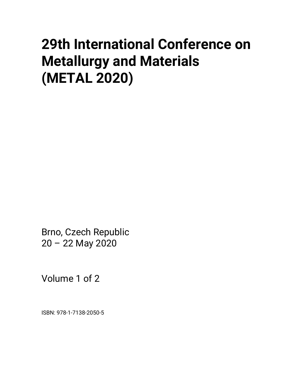# **29th International Conference on Metallurgy and Materials (METAL 2020)**

Brno, Czech Republic 20 – 22 May 2020

Volume 1 of 2

ISBN: 978-1-7138-2050-5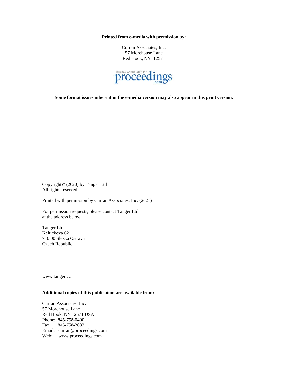**Printed from e-media with permission by:**

Curran Associates, Inc. 57 Morehouse Lane Red Hook, NY 12571



**Some format issues inherent in the e-media version may also appear in this print version.**

Copyright© (2020) by Tanger Ltd All rights reserved.

Printed with permission by Curran Associates, Inc. (2021)

For permission requests, please contact Tanger Ltd at the address below.

Tanger Ltd Keltickova 62 710 00 Slezka Ostrava Czech Republic

www.tanger.cz

## **Additional copies of this publication are available from:**

Curran Associates, Inc. 57 Morehouse Lane Red Hook, NY 12571 USA Phone: 845-758-0400 Fax: 845-758-2633 Email: curran@proceedings.com Web: www.proceedings.com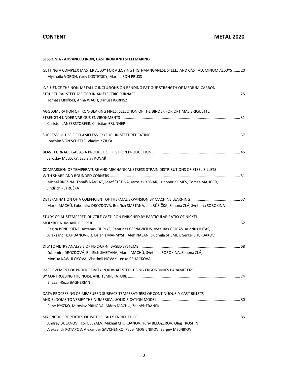# **CONTENT METAL 2020**

## **SESSION A - ADVANCED IRON, CAST IRON AND STEELMAKING**

| GETTING A COMPLEX MASTER ALLOY FOR ALLOYING HIGH-MANGANESE STEELS AND CAST ALUMINUM ALLOYS  20<br>Mykhailo VORON, Yuriy KOSTETSKY, Marina FON PRUSS                                |  |
|------------------------------------------------------------------------------------------------------------------------------------------------------------------------------------|--|
| INFLUENCE THE NON-METALLIC INCLUSIONS ON BENDING FATIGUE STRENGTH OF MEDIUM-CARBON                                                                                                 |  |
|                                                                                                                                                                                    |  |
| Tomasz LIPIŃSKI, Anna WACH, Dariusz KARPISZ                                                                                                                                        |  |
| AGGLOMERATION OF IRON-BEARING FINES: SELECTION OF THE BINDER FOR OPTIMAL BRIQUETTE                                                                                                 |  |
|                                                                                                                                                                                    |  |
| Christof LANZERSTORFER, Christian BRUNNER                                                                                                                                          |  |
|                                                                                                                                                                                    |  |
| Joachim VON SCHEELE, Vladimir ZILKA                                                                                                                                                |  |
|                                                                                                                                                                                    |  |
| Jaroslav MELECKÝ, Ladislav KOVÁŘ                                                                                                                                                   |  |
| COMPARISON OF TEMPERATURE AND MECHANICAL STRESS-STRAIN DISTRIBUTIONS OF STEEL BILLETS                                                                                              |  |
|                                                                                                                                                                                    |  |
| Michal BŘEZINA, Tomáš NÁVRAT, Josef ŠTĚTINA, Jaroslav KOVÁŘ, Lubomír KLIMEŠ, Tomáš MAUDER,<br>Jindřich PETRUŠKA                                                                    |  |
|                                                                                                                                                                                    |  |
| Mario MACHŮ, Ľubomíra DROZDOVÁ, Bedřich SMETANA, Jan RŮŽIČKA, Simona ZLÁ, Svetlana SOROKINA                                                                                        |  |
| STUDY OF AUSTEMPERED DUCTILE CAST IRON ENRICHED BY PARTICULAR RATIO OF NICKEL,                                                                                                     |  |
|                                                                                                                                                                                    |  |
| Regita BENDIKIENE, Antanas CIUPLYS, Ramunas CESNAVICIUS, Vytautas GRIGAS, Audrius JUTAS,<br>Aliaksandr BAHDANOVICH, Dzianis MARMYSH, Aleh NASAN, Liudmila SHEMET, Sergei SHERBAKOV |  |
|                                                                                                                                                                                    |  |
|                                                                                                                                                                                    |  |
| Ľubomíra DROZDOVÁ, Bedřich SMETANA, Mario MACHŮ, Svetlana SOROKINA, Simona ZLÁ,                                                                                                    |  |
| Monika KAWULOKOVÁ, Vlastimil NOVÁK, Lenka ŘEHÁČKOVÁ                                                                                                                                |  |
| IMPROVEMENT OF PRODUCTIVITY IN KUWAIT STEEL USING ERGONOMICS PARAMETERS                                                                                                            |  |
|                                                                                                                                                                                    |  |
| Ehsaan-Reza BAGHERIAN                                                                                                                                                              |  |
| DATA PROCESSING OF MEASURED SURFACE TEMPERATURES OF CONTINUOUSLY CAST BILLETS                                                                                                      |  |
|                                                                                                                                                                                    |  |
| René PYSZKO, Miroslav PŘÍHODA, Mário MACHŮ, Zdeněk FRANĚK                                                                                                                          |  |
|                                                                                                                                                                                    |  |
| Andrey BULANOV, Igor BELYAEV, Mikhail CHURBANOV, Yuriy BELOZEROV, Oleg TROSHIN,                                                                                                    |  |
| Aleksandr POTAPOV, Alexander SAVCHENKO, Pavel MOGILNIKOV, Sergey MELNIKOV                                                                                                          |  |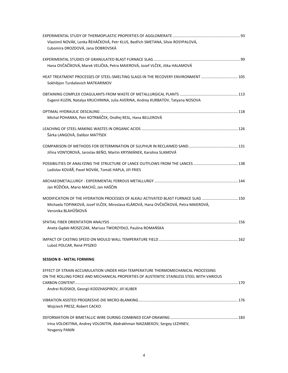| Vlastimil NOVÁK, Lenka ŘEHÁČKOVÁ, Petr KLUS, Bedřich SMETANA, Silvie ROSYPALOVÁ,                            |  |
|-------------------------------------------------------------------------------------------------------------|--|
| Ľubomíra DROZDOVÁ, Jana DOBROVSKÁ                                                                           |  |
|                                                                                                             |  |
| Hana OVČAČÍKOVÁ, Marek VELIČKA, Petra MAIEROVÁ, Jozef VLČEK, Jitka HALAMOVÁ                                 |  |
| HEAT TREATMENT PROCESSES OF STEEL-SMELTING SLAGS IN THE RECOVERY ENVIRONMENT 105                            |  |
| Sokhibjon Turdalievich MATKARIMOV                                                                           |  |
|                                                                                                             |  |
| Evgenii KUZIN, Natalya KRUCHININA, Julia AVERINA, Andrey KURBATOV, Tatyana NOSOVA                           |  |
|                                                                                                             |  |
| Michal POHANKA, Petr KOTRBÁČEK, Ondřej RESL, Hana BELLEROVÁ                                                 |  |
|                                                                                                             |  |
| Šárka LANGOVÁ, Dalibor MATÝSEK                                                                              |  |
|                                                                                                             |  |
| Jiřina VONTOROVÁ, Jaroslav BEŇO, Martin KRYSMÁNEK, Karolina SLAMOVÁ                                         |  |
|                                                                                                             |  |
| Ladislav KOVÁŘ, Pavel NOVÁK, Tomáš HAPLA, Jiří FRIES                                                        |  |
|                                                                                                             |  |
| Jan RŮŽIČKA, Mario MACHŮ, Jan HAŠČIN                                                                        |  |
| MODIFICATION OF THE HYDRATION PROCESSES OF ALKALI ACTIVATED BLAST FURNACE SLAG 150                          |  |
| Michaela TOPINKOVÁ, Jozef VLČEK, Miroslava KLÁROVÁ, Hana OVČAČÍKOVÁ, Petra MAIEROVÁ,<br>Veronika BLAHŮŠKOVÁ |  |
|                                                                                                             |  |
|                                                                                                             |  |
| Aneta Gądek-MOSZCZAK, Mariusz TWORZYDŁO, Paulina ROMAŃSKA                                                   |  |
|                                                                                                             |  |
| Luboš POLCAR, René PYSZKO                                                                                   |  |
| <b>SESSION B - METAL FORMING</b>                                                                            |  |
| EFFECT OF STRAIN ACCUMULATION UNDER HIGH TEMPERATURE THERMOMECHANICAL PROCESSING                            |  |
| ON THE ROLLING FORCE AND MECHANICAL PROPERTIES OF AUSTENITIC STAINLESS STEEL WITH VARIOUS                   |  |
|                                                                                                             |  |
| Andrei RUDSKOI, Georgii KODZHASPIROV, Jiří KLIBER                                                           |  |
|                                                                                                             |  |
| Wojciech PRESZ, Robert CACKO                                                                                |  |
|                                                                                                             |  |
| Irina VOLOKITINA, Andrey VOLOKITIN, Abdrakhman NAIZABEKOV, Sergey LEZHNEV,                                  |  |
| <b>Yevgeniy PANIN</b>                                                                                       |  |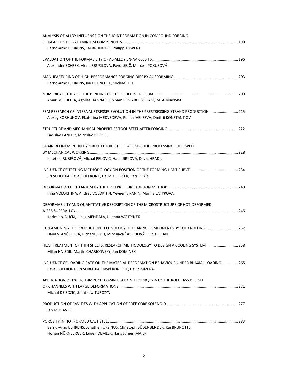| ANALYSIS OF ALLOY INFLUENCE ON THE JOINT FORMATION IN COMPOUND FORGING                      |  |
|---------------------------------------------------------------------------------------------|--|
|                                                                                             |  |
| Bernd-Arno BEHRENS, Kai BRUNOTTE, Philipp KUWERT                                            |  |
|                                                                                             |  |
| Alexander SCHREK, Alena BRUSILOVÁ, Pavol SEJČ, Marcela POKUSOVÁ                             |  |
|                                                                                             |  |
| Bernd-Arno BEHRENS, Kai BRUNOTTE, Michael TILL                                              |  |
|                                                                                             |  |
| Amar BOUDEDJA, Aghiles HANNAOU, Siham BEN ABDESSELAM, M. ALMANSBA                           |  |
| FEM RESEARCH OF INTERNAL STRESSES EVOLUTION IN THE PRESTRESSING STRAND PRODUCTION 215       |  |
| Alexey KORHUNOV, Ekaterina MEDVEDEVA, Polina IVEKEEVA, Dmitrii KONSTANTIOV                  |  |
|                                                                                             |  |
| Ladislav KANDER, Miroslav GREGER                                                            |  |
| GRAIN REFINEMENT IN HYPEREUTECTOID STEEL BY SEMI-SOLID PROCESSING FOLLOWED                  |  |
|                                                                                             |  |
| Kateřina RUBEŠOVÁ, Michal PEKOVIĆ, Hana JIRKOVÁ, David HRADIL                               |  |
|                                                                                             |  |
| Jiří SOBOTKA, Pavel SOLFRONK, David KOREČEK, Petr PILAŘ                                     |  |
|                                                                                             |  |
| Irina VOLOKITINA, Andrey VOLOKITIN, Yevgeniy PANIN, Marina LATYPOVA                         |  |
| DEFORMABILITY AND QUANTITATIVE DESCRIPTION OF THE MICROSTRUCTURE OF HOT-DEFORMED            |  |
|                                                                                             |  |
| Kazimierz DUCKI, Jacek MENDALA, Lilianna WOJTYNEK                                           |  |
| STREAMLINING THE PRODUCTION TECHNOLOGY OF BEARING COMPONENTS BY COLD ROLLING 252            |  |
| Dana STANČEKOVÁ, Richard JOCH, Miroslava ŤAVODOVÁ, Filip TURIAN                             |  |
| HEAT TREATMENT OF THIN SHEETS, RESEARCH METHODOLOGY TO DESIGN A COOLING SYSTEM  258         |  |
| Milan HNIZDIL, Martin CHABICOVSKY, Jan KOMINEK                                              |  |
| INFLUENCE OF LOADING RATE ON THE MATERIAL DEFORMATION BEHAVIOUR UNDER BI-AXIAL LOADING  265 |  |
| Pavel SOLFRONK, Jiří SOBOTKA, David KOREČEK, David MIZERA                                   |  |
| APPLICATION OF EXPLICIT-IMPLICIT CO-SIMULATION TECHNIQES INTO THE ROLL PASS DESIGN          |  |
|                                                                                             |  |
| Michał DZIEDZIC, Stanisław TURCZYN                                                          |  |
|                                                                                             |  |
| Ján MORAVEC                                                                                 |  |
|                                                                                             |  |
| Bernd-Arno BEHRENS, Jonathan URSINUS, Christoph BÜDENBENDER, Kai BRUNOTTE,                  |  |
| Florian NÜRNBERGER, Eugen DEMLER, Hans Jürgen MAIER                                         |  |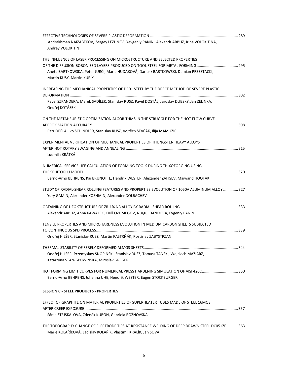| Abdrakhman NAIZABEKOV, Sergey LEZHNEV, Yevgeniy PANIN, Alexandr ARBUZ, Irina VOLOKITINA,     |  |
|----------------------------------------------------------------------------------------------|--|
| Andrey VOLOKITIN                                                                             |  |
|                                                                                              |  |
| THE INFLUENCE OF LASER PROCESSING ON MICROSTRUCTURE AND SELECTED PROPERTIES                  |  |
|                                                                                              |  |
| Aneta BARTKOWSKA, Peter JURČI, Mária HUDÁKOVÁ, Dariusz BARTKOWSKI, Damian PRZESTACKI,        |  |
| Martin KUSÝ, Martin KUŘÍK                                                                    |  |
| INCREASING THE MECHANICAL PROPERTIES OF DC01 STEEL BY THE DRECE METHOD OF SEVERE PLASTIC     |  |
|                                                                                              |  |
| Pavel SZKANDERA, Marek SADÍLEK, Stanislav RUSZ, Pavel DOSTÁL, Jaroslav DUBSKÝ, Jan ZELINKA,  |  |
| Ondřej KOTÁSEK                                                                               |  |
|                                                                                              |  |
| ON THE METAHEURISTIC OPTIMIZATION ALGORITHMS IN THE STRUGGLE FOR THE HOT FLOW CURVE          |  |
|                                                                                              |  |
| Petr OPĚLA, Ivo SCHINDLER, Stanislav RUSZ, Vojtěch ŠEVČÁK, Ilija MAMUZIC                     |  |
| EXPERIMENTAL VERIFICATION OF MECHANICAL PROPERTIES OF THUNGSTEN HEAVY ALLOYS                 |  |
|                                                                                              |  |
| Ludmila KRÁTKÁ                                                                               |  |
| NUMERICAL SERVICE LIFE CALCULATION OF FORMING TOOLS DURING THIXOFORGING USING                |  |
|                                                                                              |  |
| Bernd-Arno BEHRENS, Kai BRUNOTTE, Hendrik WESTER, Alexander ZAITSEV, Maiwand HOOTAK          |  |
| STUDY OF RADIAL-SHEAR ROLLING FEATURES AND PROPERTIES EVOLUTION OF 1050A ALUMINUM ALLOY  327 |  |
| Yury GAMIN, Alexander KOSHMIN, Alexander DOLBACHEV                                           |  |
|                                                                                              |  |
|                                                                                              |  |
| Alexandr ARBUZ, Anna KAWALEK, Kirill OZHMEGOV, Nurgul DANIYEVA, Evgeniy PANIN                |  |
| TENSILE PROPERTIES AND MIICROHARDNESS EVOLUTION IN MEDIUM CARBON SHEETS SUBJECTED            |  |
|                                                                                              |  |
| Ondřej HILŠER, Stanislav RUSZ, Martin PASTRŇÁK, Rostislav ZABYSTRZAN                         |  |
|                                                                                              |  |
| Ondřej HILŠER, Przemysław SNOPIŃSKI, Stanislav RUSZ, Tomasz TAŃSKI, Wojciech MAZIARZ,        |  |
|                                                                                              |  |
| Katarzyna STAN-GŁOWIŃSKA, Miroslav GREGER                                                    |  |
| HOT FORMING LIMIT CURVES FOR NUMERICAL PRESS HARDENING SIMULATION OF AISI 420C350            |  |
| Bernd-Arno BEHRENS, Johanna UHE, Hendrik WESTER, Eugen STOCKBURGER                           |  |
| <b>SESSION C - STEEL PRODUCTS - PROPERTIES</b>                                               |  |
| EFFECT OF GRAPHITE ON MATERIAL PROPERTIES OF SUPERHEATER TUBES MADE OF STEEL 16MO3           |  |
|                                                                                              |  |
| Šárka STEJSKALOVÁ, Zdeněk KUBOŇ, Gabriela ROŽNOVSKÁ                                          |  |
|                                                                                              |  |

THE TOPOGRAPHY CHANGE OF ELECTRODE TIPS AT RESISTANCE WELDING OF DEEP DRAWN STEEL DC05+ZE ........... 363 Marie KOLAŘÍKOVÁ, Ladislav KOLAŘÍK, Vlastimil KRÁLÍK, Jan SOVA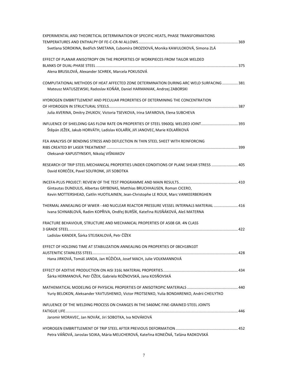| EXPERIMENTAL AND THEORETICAL DETERMINATION OF SPECIFIC HEATS, PHASE TRANSFORMATIONS         |  |
|---------------------------------------------------------------------------------------------|--|
|                                                                                             |  |
| Svetlana SOROKINA, Bedřich SMETANA, Ľubomíra DROZDOVÁ, Monika KAWULOKOVÁ, Simona ZLÁ        |  |
| EFFECT OF PLANAR ANISOTROPY ON THE PROPERTIES OF WORKPIECES FROM TAILOR WELDED              |  |
|                                                                                             |  |
| Alena BRUSILOVÁ, Alexander SCHREK, Marcela POKUSOVÁ                                         |  |
| COMPUTATIONAL METHODS OF HEAT AFFECTED ZONE DETERMINATION DURING ARC WELD SURFACING  381    |  |
| Mateusz MATUSZEWSKI, Radoslav KOŇÁR, Daniel HARMANIAK, Andrzej ZABORSKI                     |  |
| HYDROGEN EMBRITTLEMENT AND PECULIAR PRORERTIES OF DETERMINING THE CONCENTRATION             |  |
|                                                                                             |  |
| Julia AVERINA, Dmitry ZHUKOV, Victoria TSEVKOVA, Irina SAFAROVA, Elena SUBCHEVA             |  |
|                                                                                             |  |
| Štěpán JEŽEK, Jakub HORVÁTH, Ladislav KOLAŘÍK, Jiří JANOVEC, Marie KOLAŘÍKOVÁ               |  |
| FEA ANALYSIS OF BENDING STRESS AND DEFLECTION IN THIN STEEL SHEET WITH REINFORCING          |  |
|                                                                                             |  |
| Oleksandr KAPUSTYNSKYI, Nikolaj VIŠNIAKOV                                                   |  |
| RESEARCH OF TRIP STEEL MECHANICAL PROPERTIES UNDER CONDITIONS OF PLANE SHEAR STRESS  405    |  |
| David KOREČEK, Pavel SOLFRONK, Jiří SOBOTKA                                                 |  |
|                                                                                             |  |
| Gintautas DUNDULIS, Albertas GRYBENAS, Matthias BRUCHHAUSEN, Roman CICERO,                  |  |
| Kevin MOTTERSHEAD, Caitlin HUOTILAINEN, Jean-Christophe LE ROUX, Marc VANKEERBERGHEN        |  |
| THERMAL ANNEALING OF WWER - 440 NUCLEAR REACTOR PRESSURE VESSEL INTERNALS MATERIAL  416     |  |
| Ivana SCHNABLOVÁ, Radim KOPŘIVA, Ondřej BURŠÍK, Kateřina RUSŇÁKOVÁ, Aleš MATERNA            |  |
| FRACTURE BEHAVIOUR, STRUCTURE AND MECHANICAL PROPERTIES OF A508 GR. 4N CLASS                |  |
| Ladislav KANDER, Šárka STEJSKALOVÁ, Petr ČÍŽEK                                              |  |
|                                                                                             |  |
| EFFECT OF HOLDING TIME AT STABILIZATION ANNEALING ON PROPERTIES OF 08CH18N10T               |  |
| Hana JIRKOVÁ, Tomáš JANDA, Jan RŮŽIČKA, Josef MACH, Julie VOLKMANNOVÁ                       |  |
|                                                                                             |  |
|                                                                                             |  |
| Šárka HERMANOVÁ, Petr ČÍŽEK, Gabriela ROŽNOVSKÁ, Jana KOSŇOVSKÁ                             |  |
|                                                                                             |  |
| Yuriy BELOKON, Aleksander YAVTUSHENKO, Victor PROTSENKO, Yulia BONDARENKO, Andrii CHEILYTKO |  |
| INFLUENCE OF THE WELDING PROCESS ON CHANGES IN THE S460MC FINE-GRAINED STEEL JOINTS         |  |
|                                                                                             |  |
| Jaromir MORAVEC, Jan NOVÁK, Jiri SOBOTKA, Iva NOVÁKOVÁ                                      |  |
|                                                                                             |  |
| Petra VÁŇOVÁ, Jaroslav SOJKA, Mária MELICHEROVÁ, Kateřina KONEČNÁ, Taťána RADKOVSKÁ         |  |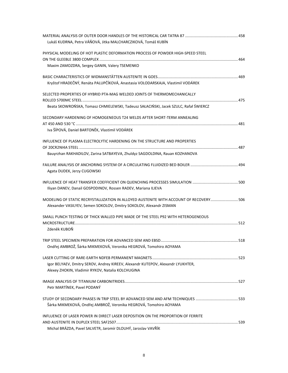| Lukáš KUDRNA, Petra VÁŇOVÁ, Jitka MALCHARCZIKOVÁ, Tomáš KUBÍN                          |  |
|----------------------------------------------------------------------------------------|--|
| PHYSICAL MODELING OF HOT PLASTIC DEFORMATION PROCESS OF POWDER HIGH-SPEED STEEL        |  |
|                                                                                        |  |
| Maxim ZAMOZDRA, Sergey GANIN, Valery TSEMENKO                                          |  |
|                                                                                        |  |
| Kryštof HRADEČNÝ, Renáta PALUPČÍKOVÁ, Anastasia VOLODARSKAJA, Vlastimil VODÁREK        |  |
| SELECTED PROPERTIES OF HYBRID PTA-MAG WELDED JOINTS OF THERMOMECHANICALLY              |  |
|                                                                                        |  |
| Beata SKOWROŃSKA, Tomasz CHMIELEWSKI, Tadeusz SAŁACIŃSKI, Jacek SZULC, Rafał ŚWIERCZ   |  |
| SECONDARY HARDENING OF HOMOGENEOUS T24 WELDS AFTER SHORT-TERM ANNEALING                |  |
|                                                                                        |  |
| Iva ŠÍPOVÁ, Daniel BARTONĚK, Vlastimil VODÁREK                                         |  |
| INFLUENCE OF PLASMA ELECTROLYTIC HARDENING ON THE STRUCTURE AND PROPERTIES             |  |
|                                                                                        |  |
| Bauyrzhan RAKHADILOV, Zarina SATBAYEVA, Zhuldyz SAGDOLDINA, Rauan KOZHANOVA            |  |
|                                                                                        |  |
| Agata DUDEK, Jerzy CUGOWSKI                                                            |  |
|                                                                                        |  |
| Iliyan DANEV, Danail GOSPODINOV, Rossen RADEV, Mariana ILIEVA                          |  |
| MODELING OF STATIC RECRYSTALLIZATION IN ALLOYED AUSTENITE WITH ACCOUNT OF RECOVERY 506 |  |
| Alexander VASILYEV, Semen SOKOLOV, Dmitry SOKOLOV, Alexandr ZISMAN                     |  |
| SMALL PUNCH TESTING OF THICK WALLED PIPE MADE OF THE STEEL P92 WITH HETEROGENEOUS      |  |
|                                                                                        |  |
| Zdeněk KUBOŇ                                                                           |  |
|                                                                                        |  |
| Ondřej AMBROŽ, Šárka MIKMEKOVÁ, Veronika HEGROVÁ, Tomohiro AOYAMA                      |  |
|                                                                                        |  |
| Igor BELYAEV, Dmitry SEROV, Andrey KIREEV, Alexandr KUTEPOV, Alexandr LYUKHTER,        |  |
| Alexey ZHOKIN, Vladimir RYKOV, Natalia KOLCHUGINA                                      |  |
|                                                                                        |  |
| Petr MARTÍNEK, Pavel PODANÝ                                                            |  |
| STUDY OF SECONDARY PHASES IN TRIP STEEL BY ADVANCED SEM AND AFM TECHNIQUES 533         |  |
| Šárka MIKMEKOVÁ, Ondřej AMBROŽ, Veronika HEGROVÁ, Tomohiro AOYAMA                      |  |
| INFLUENCE OF LASER POWER IN DIRECT LASER DEPOSITION ON THE PROPORTION OF FERRITE       |  |
| Michal BRÁZDA, Pavel SALVETR, Jaromír DLOUHÝ, Jaroslav VAVŘÍK                          |  |
|                                                                                        |  |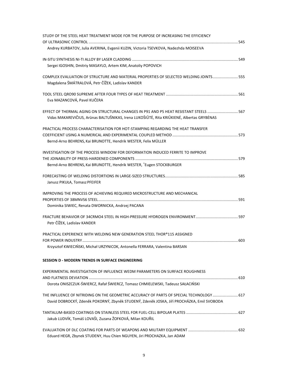| STUDY OF THE STEEL HEAT TREATMENT MODE FOR THE PURPOSE OF INCREASING THE EFFICIENCY        |  |
|--------------------------------------------------------------------------------------------|--|
| 545                                                                                        |  |
| Andrey KURBATOV, Julia AVERINA, Evgenii KUZIN, Victoria TSEVKOVA, Nadezhda MOISEEVA        |  |
|                                                                                            |  |
| Sergei IGOSHIN, Dmitriy MASAYLO, Artem KIM, Anatoliy POPOVICH                              |  |
| COMPLEX EVALUATION OF STRUCTURE AND MATERIAL PROPERTIES OF SELECTED WELDING JOINTS 555     |  |
| Magdalena ŠMÁTRALOVÁ, Petr ČÍŽEK, Ladislav KANDER                                          |  |
|                                                                                            |  |
| Eva MAZANCOVÁ, Pavel KUČERA                                                                |  |
| EFFECT OF THERMAL AGING ON STRUCTURAL CHANGES IN P91 AND P5 HEAT RESISTANT STEELS          |  |
| Vidas MAKAREVIČIUS, Arūnas BALTUŠNIKAS, Irena LUKOŠIŪTĖ, Rita KRIŪKIENĖ, Albertas GRYBĖNAS |  |
| PRACTICAL PROCESS CHARACTERISATION FOR HOT-STAMPING REGARDING THE HEAT TRANSFER            |  |
|                                                                                            |  |
| Bernd-Arno BEHRENS, Kai BRUNOTTE, Hendrik WESTER, Felix MÜLLER                             |  |
| INVESTIGATION OF THE PROCESS WINDOW FOR DEFORMATION INDUCED FERRITE TO IMPROVE             |  |
|                                                                                            |  |
| Bernd-Arno BEHRENS, Kai BRUNOTTE, Hendrik WESTER, *Eugen STOCKBURGER                       |  |
|                                                                                            |  |
| Janusz PIKUŁA, Tomasz PFEIFER                                                              |  |
| IMPROVING THE PROCESS OF ACHIEVING REQUIRED MICROSTRUCTURE AND MECHANICAL                  |  |
|                                                                                            |  |
| Dominika SIWIEC, Renata DWORNICKA, Andrzej PACANA                                          |  |
|                                                                                            |  |
| Petr ČÍŽEK, Ladislav KANDER                                                                |  |
| PRACTICAL EXPERIENCE WITH WELDING NEW GENERATION STEEL THOR®115 ASSIGNED                   |  |
| Krzysztof KWIECIŃSKI, Michał URZYNICOK, Antonella FERRARA, Valentina BARSAN                |  |
|                                                                                            |  |
| SESSION D - MODERN TRENDS IN SURFACE ENGINEERING                                           |  |
| EXPERIMENTAL INVESTIGATION OF INFLUENCE WEDM PARAMETERS ON SURFACE ROUGHNESS               |  |
|                                                                                            |  |
| Dorota ONISZCZUK-ŚWIERCZ, Rafał ŚWIERCZ, Tomasz CHMIELEWSKI, Tadeusz SAŁACIŃSKI            |  |
| THE INFLUENCE OF NITRIDING ON THE GEOMETRIC ACCURACY OF PARTS OF SPECIAL TECHNOLOGY  617   |  |
| David DOBROCKÝ, Zdeněk POKORNÝ, Zbyněk STUDENÝ, Zdeněk JOSKA, Jiří PROCHÁZKA, Emil SVOBODA |  |
|                                                                                            |  |
| Jakub LUDVÍK, Tomáš LOVAŠI, Zuzana ŽOFKOVÁ, Milan KOUŘIL                                   |  |
|                                                                                            |  |
| Eduard HEGR, Zbynek STUDENY, Huu Chien NGUYEN, Jiri PROCHAZKA, Jan ADAM                    |  |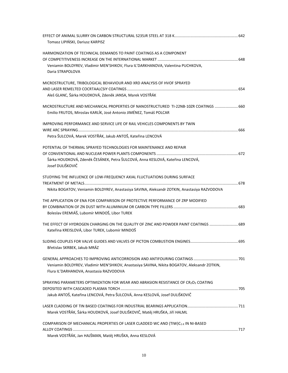| Tomasz LIPIŃSKI, Dariusz KARPISZ                                                                     |  |
|------------------------------------------------------------------------------------------------------|--|
| HARMONIZATION OF TECHNICAL DEMANDS TO PAINT COATINGS AS A COMPONENT                                  |  |
|                                                                                                      |  |
| Veniamin BOLDYREV, Vladimir MEN'SHIKOV, Flura IL'DARKHANOVA, Valentina PUCHKOVA,<br>Daria STRAPOLOVA |  |
| MICROSTRUCTURE, TRIBOLOGICAL BEHAVIOUR AND XRD ANALYSIS OF HVOF SPRAYED                              |  |
|                                                                                                      |  |
| Aleš GLANC, Šárka HOUDKOVÁ, Zdeněk JANSA, Marek VOSTŘÁK                                              |  |
| MICROSTRUCTURE AND MECHANICAL PROPERTIES OF NANOSTRUCTURED TI-22NB-10ZR COATINGS  660                |  |
| Emilio FRUTOS, Miroslav KARLÍK, José Antonio JIMÉNEZ, Tomáš POLCAR                                   |  |
| IMPROVING PERFORMANCE AND SERVICE LIFE OF RAIL VEHICLES COMPONENTS BY TWIN                           |  |
| Petra ŠULCOVÁ, Marek VOSTŘÁK, Jakub ANTOŠ, Kateřina LENCOVÁ                                          |  |
| POTENTIAL OF THERMAL SPRAYED TECHNOLOGIES FOR MAINTENANCE AND REPAIR                                 |  |
|                                                                                                      |  |
| Šárka HOUDKOVÁ, Zdeněk ČESÁNEK, Petra ŠULCOVÁ, Anna KESLOVÁ, Kateřina LENCOVÁ,<br>Josef DULIŠKOVIČ   |  |
|                                                                                                      |  |
| STUDYING THE INFLUENCE OF LOW-FREQUENCY AXIAL FLUCTUATIONS DURING SURFACE                            |  |
|                                                                                                      |  |
| Nikita BOGATOV, Veniamin BOLDYREV, Anastasiya SAVINA, Aleksandr ZOTKIN, Anastasiya RAZVODOVA         |  |
| THE APPLICATION OF ENA FOR COMPARISON OF PROTECTIVE PERFORMANCE OF ZRP MODIFIED                      |  |
|                                                                                                      |  |
| Boleslav EREMIÁŠ, Lubomír MINDOŠ, Libor TUREK                                                        |  |
| THE EFFECT OF HYDROGEN CHARGING ON THE QUALITY OF ZINC AND POWDER PAINT COATINGS  689                |  |
| Kateřina KREISLOVÁ, Libor TUREK, Lubomír MINDOŠ                                                      |  |
|                                                                                                      |  |
| Břetislav SKRBEK, Jakub MRÁZ                                                                         |  |
|                                                                                                      |  |
| Veniamin BOLDYREV, Vladimir MEN'SHIKOV, Anastasiya SAVINA, Nikita BOGATOV, Aleksandr ZOTKIN,         |  |
| Flura IL'DARHANOVA, Anastasia RAZVODOVA                                                              |  |
| SPRAYING PARAMETERS OPTIMIZATION FOR WEAR AND ABRASION RESISTANCE OF CR2O3 COATING                   |  |
|                                                                                                      |  |
| Jakub ANTOŠ, Kateřina LENCOVÁ, Petra ŠULCOVÁ, Anna KESLOVÁ, Josef DULIŠKOVIČ                         |  |
|                                                                                                      |  |
| Marek VOSTŘÁK, Šárka HOUDKOVÁ, Josef DULIŠKOVIČ, Matěj HRUŠKA, Jiří HALML                            |  |
| COMPARISON OF MECHANICAL PROPERTIES OF LASER CLADDED WC AND (TIW)C1-x IN NI-BASED                    |  |
|                                                                                                      |  |
| Marek VOSTŘÁK, Jan HAJŠMAN, Matěj HRUŠKA, Anna KESLOVÁ                                               |  |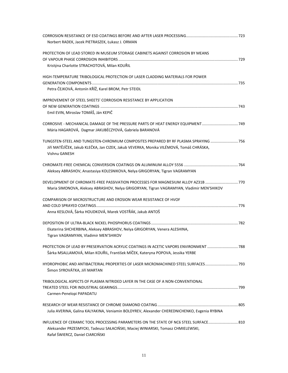| Norbert RADEK, Jacek PIETRASZEK, Łukasz J. ORMAN                                             |  |
|----------------------------------------------------------------------------------------------|--|
| PROTECTION OF LEAD STORED IN MUSEUM STORAGE CABINETS AGAINST CORROSION BY MEANS              |  |
|                                                                                              |  |
| Kristýna Charlotte STRACHOTOVÁ, Milan KOUŘIL                                                 |  |
| HIGH-TEMPERATURE TRIBOLOGICAL PROTECTION OF LASER CLADDING MATERIALS FOR POWER               |  |
|                                                                                              |  |
| Petra ČEJKOVÁ, Antonín KŘÍŽ, Karel BROM, Petr STEIDL                                         |  |
| IMPROVEMENT OF STEEL SHEETS' CORROSION RESISTANCE BY APPLICATION                             |  |
|                                                                                              |  |
| Emil EVIN, Miroslav TOMÁŠ, Ján KEPIČ                                                         |  |
| CORROSIVE - MECHANICAL DAMAGE OF THE PRESSURE PARTS OF HEAT ENERGY EQUIPMENT749              |  |
| Mária HAGAROVÁ, Dagmar JAKUBÉCZYOVÁ, Gabriela BARANOVÁ                                       |  |
| TUNGSTEN-STEEL AND TUNGSTEN-CHROMIUM COMPOSITES PREPARED BY RF PLASMA SPRAYING  756          |  |
| Jiří MATĚJÍČEK, Jakub KLEČKA, Jan CIZEK, Jakub VEVERKA, Monika VILÉMOVÁ, Tomáš CHRÁSKA,      |  |
| Vishnu GANESH                                                                                |  |
|                                                                                              |  |
| Aleksey ABRASHOV, Anastasiya KOLESNIKOVA, Nelya GRIGORYAN, Tigran VAGRAMYAN                  |  |
| DEVELOPMENT OF CHROMATE-FREE PASSIVATION PROCESSES FOR MAGNESIUM ALLOY AZ31B 770             |  |
| Maria SIMONOVA, Aleksey ABRASHOV, Nelya GRIGORYAN, Tigran VAGRAMYAN, Vladimir MEN'SHIKOV     |  |
| COMPARISON OF MICROSTRUCTURE AND EROSION WEAR RESISTANCE OF HVOF                             |  |
|                                                                                              |  |
| Anna KESLOVÁ, Šárka HOUDKOVÁ, Marek VOSTŘÁK, Jakub ANTOŠ                                     |  |
|                                                                                              |  |
| Ekaterina SHCHERBINA, Aleksey ABRASHOV, Nelya GRIGORYAN, Venera ALESHINA,                    |  |
| Tigran VAGRAMYAN, Vladimir MEN'SHIKOV                                                        |  |
| PROTECTION OF LEAD BY PRESERVATION ACRYLIC COATINGS IN ACETIC VAPORS ENVIRONMENT  788        |  |
| Šárka MSALLAMOVÁ, Milan KOUŘIL, František MÍČEK, Kateryna POPOVA, Jessika YERBE              |  |
| HYDROPHOBIC AND ANTIBACTERIAL PROPERTIES OF LASER MICROMACHINED STEEL SURFACES793            |  |
| Šimon SYROVÁTKA, Jiří MARTAN                                                                 |  |
| TRIBOLOGICAL ASPECTS OF PLASMA NITRIDED LAYER IN THE CASE OF A NON-CONVENTIONAL              |  |
|                                                                                              |  |
| Carmen-Penelopi PAPADATU                                                                     |  |
|                                                                                              |  |
| Julia AVERINA, Galina KALYAKINA, Veniamin BOLDYREV, Alexander CHEREDNICHENKO, Evgenia RYBINA |  |
| INFLUENCE OF CERAMIC TOOL PROCESSING PARAMETERS ON THE STATE OF NC6 STEEL SURFACE 810        |  |
| Aleksander PRZESMYCKI, Tadeusz SAŁACIŃSKI, Maciej WINIARSKI, Tomasz CHMIELEWSKI,             |  |
| Rafał ŚWIERCZ, Daniel CIARCIŃSKI                                                             |  |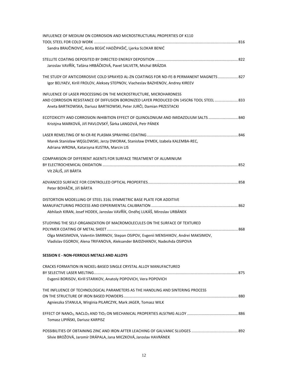| INFLUENCE OF MEDIUM ON CORROSION AND MICROSTRUCTURAL PROPERTIES OF K110                                                                                            |  |
|--------------------------------------------------------------------------------------------------------------------------------------------------------------------|--|
|                                                                                                                                                                    |  |
| Sandra BRAJČINOVIĆ, Anita BEGIĆ HADŽIPAŠIĆ, Ljerka SLOKAR BENIĆ                                                                                                    |  |
|                                                                                                                                                                    |  |
| Jaroslav VAVŘÍK, Taťána HRBÁČKOVÁ, Pavel SALVETR, Michal BRÁZDA                                                                                                    |  |
| THE STUDY OF ANTICORROSIVE COLD SPRAYED AL-ZN COATINGS FOR ND-FE-B PERMANENT MAGNETS  827                                                                          |  |
| Igor BELYAEV, Kirill FROLOV, Aleksey STEPNOV, Viacheslav BAZHENOV, Andrey KIREEV                                                                                   |  |
| INFLUENCE OF LASER PROCESSING ON THE MICROSTRUCTURE, MICROHARDNESS                                                                                                 |  |
| AND CORROSION RESISTANCE OF DIFFUSION BORONIZED LAYER PRODUCED ON 145CR6 TOOL STEEL  833<br>Aneta BARTKOWSKA, Dariusz BARTKOWSKI, Peter JURČI, Damian PRZESTACKI   |  |
| ECOTOXICITY AND CORROSION INHIBITION EFFECT OF QUINOLONIUM AND IMIDAZOLIUM SALTS840                                                                                |  |
| Kristýna MARKOVÁ, Jiří PAVLOVSKÝ, Šárka LANGOVÁ, Petr PÁNEK                                                                                                        |  |
|                                                                                                                                                                    |  |
| Marek Stanisław WĘGLOWSKI, Jerzy DWORAK, Stanisław DYMEK, Izabela KALEMBA-REC,<br>Adriana WRONA, Katarzyna KUSTRA, Marcin LIS                                      |  |
|                                                                                                                                                                    |  |
| COMPARISON OF DIFFERENT AGENTS FOR SURFACE TREATMENT OF ALUMINIUM                                                                                                  |  |
| Vít ZÁLIŠ, Jiří BÁRTA                                                                                                                                              |  |
|                                                                                                                                                                    |  |
| Peter BOHÁČIK, Jiří BÁRTA                                                                                                                                          |  |
| DISTORTION MODELLING OF STEEL 316L SYMMETRIC BASE PLATE FOR ADDITIVE                                                                                               |  |
|                                                                                                                                                                    |  |
| Abhilash KIRAN, Josef HODEK, Jaroslav VAVŘÍK, Ondřej LUKÁŠ, Miroslav URBÁNEK                                                                                       |  |
| STUDYING THE SELF-ORGANIZATION OF MACROMOLECULES ON THE SURFACE OF TEXTURED                                                                                        |  |
|                                                                                                                                                                    |  |
| Olga MAKSIMOVA, Valentin SMIRNOV, Stepan OSIPOV, Evgenii MENSHIKOV, Andrei MAKSIMOV,<br>Vladislav EGOROV, Alena TRIFANOVA, Aleksander BAIDZHANOV, Nadezhda OSIPOVA |  |
|                                                                                                                                                                    |  |
| <b>SESSION E - NON-FERROUS METALS AND ALLOYS</b>                                                                                                                   |  |
| CRACKS FORMATION IN NICKEL-BASED SINGLE CRYSTAL ALLOY MANUFACTURED                                                                                                 |  |
|                                                                                                                                                                    |  |
| Evgenii BORISOV, Kirill STARIKOV, Anatoly POPOVICH, Vera POPOVICH                                                                                                  |  |
| THE INFLUENCE OF TECHNOLOGICAL PARAMETERS AS THE HANDLING AND SINTERING PROCESS                                                                                    |  |
|                                                                                                                                                                    |  |
| Agnieszka STANULA, Wirginia PILARCZYK, Mark JAGER, Tomasz WILK                                                                                                     |  |
|                                                                                                                                                                    |  |
| Tomasz LIPIŃSKI, Dariusz KARPISZ                                                                                                                                   |  |
|                                                                                                                                                                    |  |
| Silvie BROŽOVÁ, Jaromír DRÁPALA, Jana MICZKOVÁ, Jaroslav HAVRÁNEK                                                                                                  |  |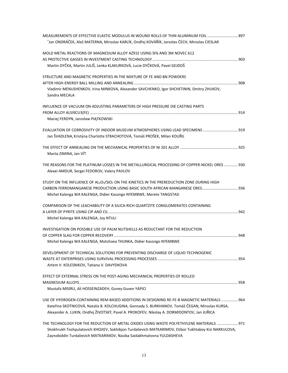| MEASUREMENTS OF EFFECTIVE ELASTIC MODULUS IN WOUND ROLLS OF THIN ALUMINUM FOIL  897<br>Jan ONDRÁČEK, Aleš MATERNA, Miroslav KARLÍK, Ondřej KOVÁŘÍK, Jaroslav ČECH, Miroslav CIESLAR* |  |
|--------------------------------------------------------------------------------------------------------------------------------------------------------------------------------------|--|
| MOLD METAL REACTIONS OF MAGNESIUM ALLOY AZ91E USING SF6 AND 3M NOVEC 612                                                                                                             |  |
|                                                                                                                                                                                      |  |
| Martin DYČKA, Martin JULIŠ, Lenka KLAKURKOVÁ, Lucie DYČKOVÁ, Pavel GEJDOŠ                                                                                                            |  |
| STRUCTURE AND MAGNETIC PROPERTIES IN THE MIXTURE OF FE AND BN POWDERS                                                                                                                |  |
| Vladimir MENUSHENKOV, Irina MINKOVA, Alexander SAVCHENKO, Igor SHCHETININ, Dmitry ZHUKOV,<br>Sandra MECALA                                                                           |  |
| INFLUENCE OF VACUUM ON ADJUSTING PARAMETERS OF HIGH PRESSURE DIE CASTING PARTS                                                                                                       |  |
|                                                                                                                                                                                      |  |
| Maciej FERDYN, Jarosław PIĄTKOWSKI                                                                                                                                                   |  |
| EVALUATION OF CORROSIVITY OF INDOOR MUSEUM ATMOSPHERES USING LEAD SPECIMENS                                                                                                          |  |
| Jan ŠVADLENA, Kristýna Charlotte STRACHOTOVÁ, Tomáš PROŠEK, Milan KOUŘIL                                                                                                             |  |
|                                                                                                                                                                                      |  |
| Mariia ZIMINA, Jan VÍT                                                                                                                                                               |  |
| THE REASONS FOR THE PLATINUM LOSSES IN THE METALLURGICAL PROCESSING OF COPPER-NICKEL ORES  930<br>Alexei AMDUR, Sergei FEDOROV, Valery PAVLOV                                        |  |
| STUDY ON THE INFLUENCE OF AL2O3/SIO2 ON THE KINETICS IN THE PREREDUCTION ZONE DURING HIGH                                                                                            |  |
| CARBON FERROMANGANESE PRODUCTION USING BASIC SOUTH AFRICAN MANGANESE ORES 936                                                                                                        |  |
| Michel Kalenga WA KALENGA, Didier Kasongo NYEMBWE, Merete TANGSTAD                                                                                                                   |  |
| COMPARISON OF THE LEACHABILITY OF A SILICA-RICH QUARTZITE CONGLOMERATES CONTAINING                                                                                                   |  |
|                                                                                                                                                                                      |  |
| Michel Kalenga WA KALENGA, Joy NTULI                                                                                                                                                 |  |
| INVESTIGATION ON POSSIBLE USE OF PALM NUTSHELLS AS REDUCTANT FOR THE REDUCTION                                                                                                       |  |
|                                                                                                                                                                                      |  |
| Michel Kalenga WA KALENGA, Motshoea THUNKA, Didier Kasongo NYEMBWE                                                                                                                   |  |
| DEVELOPMENT OF TECHNICAL SOLUTIONS FOR PREVENTING DISCHARGE OF LIQUID TECHNOGENIC                                                                                                    |  |
|                                                                                                                                                                                      |  |
| Artem V. KOLESNIKOV, Tatiana V. DAVYDKOVA                                                                                                                                            |  |
| EFFECT OF EXTERNAL STRESS ON THE POST-AGING MECHANICAL PROPERTIES OF ROLLED                                                                                                          |  |
| Mustafa MISIRLI, Ali HOSSEINZADEH, Guney Guven YAPICI                                                                                                                                |  |
| USE OF HYDROGEN-CONTAINING REM-BASED ADDITIONS IN DESIGNING RE-FE-B MAGNETIC MATERIALS  964                                                                                          |  |
| Kateřina SKOTNICOVÁ, Natalia B. KOLCHUGINA, Gennady S. BURKHANOV, Tomáš ČEGAN, Miroslav KURSA,                                                                                       |  |
| Alexander A. LUKIN, Ondřej ŽIVOTSKÝ, Pavel A. PROKOFEV, Nikolay A. DORMIDONTOV, Jan JUŘICA                                                                                           |  |
| THE TECHNOLOGY FOR THE REDUCTION OF METAL OXIDES USING WASTE POLYETHYLENE MATERIALS  971                                                                                             |  |
| Shokhrukh Toshpulatovich KHOJIEV, Sokhibjon Turdalievich MATKARIMOV, Etibor Tukhtaboy Kizi NARKULOVA,                                                                                |  |
| Zaynobiddin Turdalievich MATKARIMOV, Nasiba Saidakhmatovna YULDASHEVA                                                                                                                |  |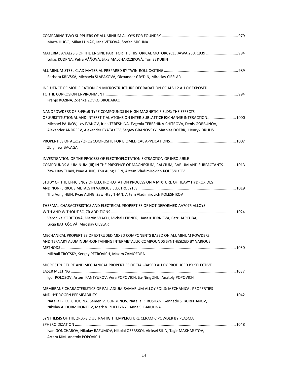| Marta HUGO, Milan LUŇÁK, Jana VÍTKOVÁ, Štefan MICHNA                                                                                                                              |  |
|-----------------------------------------------------------------------------------------------------------------------------------------------------------------------------------|--|
| MATERIAL ANALYSIS OF THE ENGINE PART FOR THE HISTORICAL MOTORCYCLE JAWA 250, 1939  984<br>Lukáš KUDRNA, Petra VÁŇOVÁ, Jitka MALCHARCZIKOVÁ, Tomáš KUBÍN                           |  |
|                                                                                                                                                                                   |  |
| Barbora KŘIVSKÁ, Michaela ŠLAPÁKOVÁ, Olexander GRYDIN, Miroslav CIESLAR                                                                                                           |  |
| INFLUENCE OF MODIFICATION ON MICROSTRUCTURE DEGRADATION OF ALSI12 ALLOY EXPOSED<br>Franjo KOZINA, Zdenka ZOVKO BRODARAC                                                           |  |
|                                                                                                                                                                                   |  |
| NANOPOWDERS OF R <sub>2</sub> FE <sub>14</sub> B-TYPE COMPOUNDS IN HIGH MAGNETIC FIELDS: THE EFFECTS                                                                              |  |
| OF SUBSTITUTIONAL AND INTERSTITIAL ATOMS ON INTER-SUBLATTICE EXCHANGE INTERACTION 1000                                                                                            |  |
| Michael PAUKOV, Lev IVANOV, Irina TERESHINA, Evgenia TERESHINA-CHITROVA, Denis GORBUNOV,<br>Alexander ANDREEV, Alexander PYATAKOV, Sergey GRANOVSKY, Mathias DOERR, Henryk DRULIS |  |
|                                                                                                                                                                                   |  |
| Zbigniew BAŁAGA                                                                                                                                                                   |  |
| INVESTIGATION OF THE PROCESS OF ELECTROFLOTATION EXTRACTION OF INSOLUBLE                                                                                                          |  |
| COMPOUNDS ALUMINUM (III) IN THE PRESENCE OF MAGNESIUM, CALCIUM, BARIUM AND SURFACTANTS 1013                                                                                       |  |
| Zaw Htay THAN, Pyae AUNG, Thu Aung HEIN, Artem Vladimirovich KOLESNIKOV                                                                                                           |  |
| STUDY OF THE EFFICIENCY OF ELECTROFLOTATION PROCESS ON A MIXTURE OF HEAVY HYDROXIDES                                                                                              |  |
|                                                                                                                                                                                   |  |
| Thu Aung HEIN, Pyae AUNG, Zaw Htay THAN, Artem Vladimirovich KOLESNIKOV                                                                                                           |  |
| THERMAL CHARACTERISTICS AND ELECTRICAL PROPERTIES OF HOT DEFORMED AA7075 ALLOYS                                                                                                   |  |
|                                                                                                                                                                                   |  |
| Veronika KODETOVÁ, Martin VLACH, Michal LEIBNER, Hana KUDRNOVÁ, Petr HARCUBA,                                                                                                     |  |
| Lucia BAJTOŠOVÁ, Miroslav CIESLAR                                                                                                                                                 |  |
| MECHANICAL PROPERTIES OF EXTRUDED MIXED COMPONENTS BASED ON ALUMINUM POWDERS                                                                                                      |  |
| AND TERNARY ALUMINUM-CONTAINING INTERMETALLIC COMPOUNDS SYNTHESIZED BY VARIOUS                                                                                                    |  |
|                                                                                                                                                                                   |  |
| Mikhail TROTSKY, Sergey PETROVICH, Maxim ZAMOZDRA                                                                                                                                 |  |
| MICROSTRUCTURE AND MECHANICAL PROPERTIES OF TIAL-BASED ALLOY PRODUCED BY SELECTIVE                                                                                                |  |
|                                                                                                                                                                                   |  |
| Igor POLOZOV, Artem KANTYUKOV, Vera POPOVICH, Jia-Ning ZHU, Anatoly POPOVICH                                                                                                      |  |
| MEMBRANE CHARACTERISTICS OF PALLADIUM-SAMARIUM ALLOY FOILS: MECHANICAL PROPERTIES                                                                                                 |  |
|                                                                                                                                                                                   |  |
| Natalia B. KOLCHUGINA, Semen V. GORBUNOV, Natalia R. ROSHAN, Gennadii S. BURKHANOV,<br>Nikolay A. DORMIDONTOV, Mark V. ZHELEZNYI, Anna S. BAKULINA                                |  |
|                                                                                                                                                                                   |  |
| SYNTHEISIS OF THE ZRB2-SIC ULTRA-HIGH TEMPERATURE CERAMIC POWDER BY PLASMA                                                                                                        |  |
|                                                                                                                                                                                   |  |
| Ivan GONCHAROV, Nikolay RAZUMOV, Nikolai OZERSKOI, Aleksei SILIN, Tagir MAKHMUTOV,<br>Artem KIM, Anatoly POPOVICH                                                                 |  |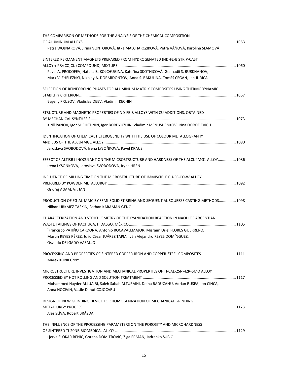| THE COMPARISON OF METHODS FOR THE ANALYSIS OF THE CHEMICAL COMPOSITION                                                           |  |
|----------------------------------------------------------------------------------------------------------------------------------|--|
|                                                                                                                                  |  |
| Petra WOJNAROVÁ, Jiřina VONTOROVÁ, Jitka MALCHARCZIKOVÁ, Petra VÁŇOVÁ, Karolina SLAMOVÁ                                          |  |
| SINTERED PERMANENT MAGNETS PREPARED FROM HYDROGENATED (ND-FE-B STRIP-CAST                                                        |  |
|                                                                                                                                  |  |
| Pavel A. PROKOFEV, Natalia B. KOLCHUGINA, Kateřina SKOTNICOVÁ, Gennadii S. BURKHANOV,                                            |  |
| Mark V. ZHELEZNYI, Nikolay A. DORMIDONTOV, Anna S. BAKULINA, Tomáš ČEGAN, Jan JUŘICA                                             |  |
| SELECTION OF REINFORCING PHASES FOR ALUMINUM MATRIX COMPOSITES USING THERMODYNAMIC                                               |  |
|                                                                                                                                  |  |
| Evgeny PRUSOV, Vladislav DEEV, Vladimir KECHIN                                                                                   |  |
| STRUCTURE AND MAGNETIC PROPERTIES OF ND-FE-B ALLOYS WITH CU ADDITIONS, OBTAINED                                                  |  |
|                                                                                                                                  |  |
| Kirill PANOV, Igor SHCHETININ, Igor BORDYUZHIN, Vladimir MENUSHENKOV, Irina DOROFIEVICH                                          |  |
| <b>IDENTIFICATION OF CHEMICAL HETEROGENEITY WITH THE USE OF COLOUR METALLOGRAPHY</b>                                             |  |
| Jaroslava SVOBODOVÁ, Irena LYSOŇKOVÁ, Pavel KRAUS                                                                                |  |
|                                                                                                                                  |  |
| EFFECT OF ALTI3B1 INOCULANT ON THE MICROSTRUCTURE AND HARDNESS OF THE ALCU4MG1 ALLOY 1086                                        |  |
| Irena LYSOŇKOVÁ, Jaroslava SVOBODOVÁ, Iryna HREN                                                                                 |  |
| INFLUENCE OF MILLING TIME ON THE MICROSTRUCTURE OF IMMISCIBLE CU-FE-CO-W ALLOY                                                   |  |
|                                                                                                                                  |  |
| Ondřej ADAM, Vít JAN                                                                                                             |  |
| PRODUCTION OF FG-AL-MMC BY SEMI-SOLID STIRRING AND SEQUENTIAL SQUEEZE CASTING METHODS 1098                                       |  |
| Nilhan URKMEZ TASKIN, Serhan KARAMAN GENÇ                                                                                        |  |
| CHARACTERIZATION AND STOICHIOMETRY OF THE CYANIDATION REACTION IN NAOH OF ARGENTIAN                                              |  |
|                                                                                                                                  |  |
| *Francisco PATIÑO CARDONA, Antonio ROCAVALLMAJOR, Mizraím Uriel FLORES GUERRERO,                                                 |  |
| Martín REYES PÉREZ, Julio César JUÁREZ TAPIA, Iván Alejandro REYES DOMÍNGUEZ,                                                    |  |
| Osvaldo DELGADO VASALLO                                                                                                          |  |
| PROCESSING AND PROPERTIES OF SINTERED COPPER-IRON AND COPPER-STEEL COMPOSITES 1111                                               |  |
| Marek KONIECZNY                                                                                                                  |  |
| MICROSTRUCTURE INVESTIGATION AND MECHANICAL PROPERTIES OF TI-6AL-2SN-4ZR-6MO ALLOY                                               |  |
|                                                                                                                                  |  |
| Mohammed Hayder ALLUAIBI, Saleh Sabah ALTURAIHI, Doina RADUCANU, Adrian RUSEA, Ion CINCA,<br>Anna NOCIVIN, Vasile Danut COJOCARU |  |
| DESIGN OF NEW GRINDING DEVICE FOR HOMOGENIZATION OF MECHANICAL GRINDING                                                          |  |
|                                                                                                                                  |  |
| Aleš SLÍVA, Robert BRÁZDA                                                                                                        |  |
| THE INFLUENCE OF THE PROCESSING PARAMETERS ON THE POROSITY AND MICROHARDNESS                                                     |  |
|                                                                                                                                  |  |
| Ljerka SLOKAR BENIĆ, Gorana DOMITROVIĆ, Žiga ERMAN, Jadranko ŠUBIĆ                                                               |  |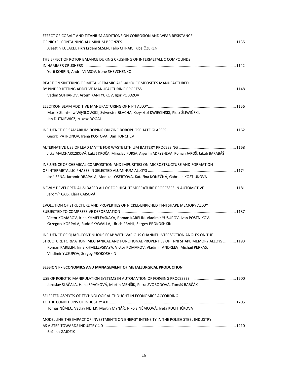| EFFECT OF COBALT AND TITANIUM ADDITIONS ON CORROSION AND WEAR RESISTANCE                                                                                  |  |
|-----------------------------------------------------------------------------------------------------------------------------------------------------------|--|
|                                                                                                                                                           |  |
| Aleattin KULAKLI, Fikri Erdem SESEN, Talip CITRAK, Tuba ÖZEREN                                                                                            |  |
| THE EFFECT OF ROTOR BALANCE DURING CRUSHING OF INTERMETALLIC COMPOUNDS                                                                                    |  |
|                                                                                                                                                           |  |
| Yurii KOBRIN, Andrii VLASOV, Irene SHEVCHENKO                                                                                                             |  |
| REACTION SINTERING OF METAL-CERAMIC ALSI-AL <sub>2</sub> O <sub>3</sub> COMPOSITES MANUFACTURED                                                           |  |
|                                                                                                                                                           |  |
| Vadim SUFIIAROV, Artem KANTYUKOV, Igor POLOZOV                                                                                                            |  |
|                                                                                                                                                           |  |
| Marek Stanisław WĘGLOWSKI, Sylwester BŁACHA, Krzysztof KWIECIŃSKI, Piotr ŚLIWIŃSKI,<br>Jan DUTKIEWICZ, Łukasz ROGAL                                       |  |
|                                                                                                                                                           |  |
| Georgi PATRONOV, Irena KOSTOVA, Dan TONCHEV                                                                                                               |  |
|                                                                                                                                                           |  |
| Jitka MALCHARCZIKOVÁ, Lukáš KROČA, Miroslav KURSA, Aigerim ADRYSHEVA, Roman JAROŠ, Jakub BARABÁŠ                                                          |  |
| INFLUENCE OF CHEMICAL COMPOSITION AND IMPURITIES ON MICROSTRUCTURE AND FORMATION                                                                          |  |
|                                                                                                                                                           |  |
| José SENA, Jaromír DRÁPALA, Monika LOSERTOVÁ, Kateřina KONEČNÁ, Gabriela KOSTIUKOVÁ                                                                       |  |
| NEWLY DEVELOPED AL-SI BASED ALLOY FOR HIGH TEMPERATURE PROCESSES IN AUTOMOTIVE 1181<br>Jaromír CAIS, Klára CAISOVÁ                                        |  |
| EVOLUTION OF STRUCTURE AND PROPERTIES OF NICKEL-ENRICHED TI-NI SHAPE MEMORY ALLOY                                                                         |  |
|                                                                                                                                                           |  |
| Victor KOMAROV, Irina KHMELEVSKAYA, Roman KARELIN, Vladimir YUSUPOV, Ivan POSTNIKOV,<br>Grzegorz KORPALA, Rudolf KAWALLA, Ulrich PRAHL, Sergey PROKOSHKIN |  |
|                                                                                                                                                           |  |
| INFLUENCE OF QUASI-CONTINUOUS ECAP WITH VARIOUS CHANNEL INTERSECTION ANGLES ON THE                                                                        |  |
| STRUCTURE FORMATION, MECHANICAL AND FUNCTIONAL PROPERTIES OF TI-NI SHAPE MEMORY ALLOYS  1193                                                              |  |
| Roman KARELIN, Irina KHMELEVSKAYA, Victor KOMAROV, Vladimir ANDREEV, Michail PERKAS,<br>Vladimir YUSUPOV, Sergey PROKOSHKIN                               |  |
| SESSION F - ECONOMICS AND MANAGEMENT OF METALLURGICAL PRODUCTION                                                                                          |  |
|                                                                                                                                                           |  |
| Jaroslav SLÁČALA, Hana ŠPAČKOVÁ, Martin MENŠÍK, Petra SVOBODOVÁ, Tomáš BARČÁK                                                                             |  |
| SELECTED ASPECTS OF TECHNOLOGICAL THOUGHT IN ECONOMICS ACCORDING                                                                                          |  |
|                                                                                                                                                           |  |
| Tomas NĚMEC, Vaclav NÉTEK, Martin MYNÁŘ, Nikola NĚMCOVÁ, Iveta KUCHTIČKOVÁ                                                                                |  |
| MODELLING THE IMPACT OF INVESTMENTS ON ENERGY INTENSITY IN THE POLISH STEEL INDUSTRY                                                                      |  |
|                                                                                                                                                           |  |
| Bożena GAJDZIK                                                                                                                                            |  |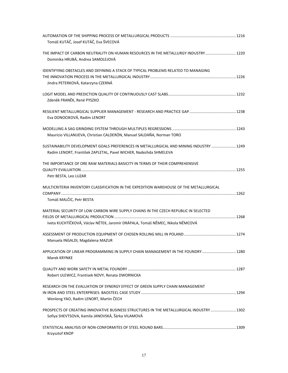| Tomáš KUTÁČ, Josef KUTÁČ, Eva ŠVECOVÁ                                                                                                                                 |  |
|-----------------------------------------------------------------------------------------------------------------------------------------------------------------------|--|
| THE IMPACT OF CARBON NEUTRALITY ON HUMAN RESOURCES IN THE METALLURGY INDUSTRY 1220<br>Dominika HRUBÁ, Andrea SAMOLEJOVÁ                                               |  |
| IDENTIFYING OBSTACLES AND DEFINING A STACK OF TYPICAL PROBLEMS RELATED TO MANAGING<br>Jindra PETERKOVÁ, Katarzyna CZERNÁ                                              |  |
| Zdeněk FRANĚK, René PYSZKO                                                                                                                                            |  |
| Eva DONOCIKOVÁ, Radim LENORT                                                                                                                                          |  |
| Mauricio VILLANUEVA, Christian CALDERÓN, Manuel SALDAÑA, Norman TORO                                                                                                  |  |
| SUSTAINABILITY DEVELOPMENT GOALS PREFERENCES IN METALLURGICAL AND MINING INDUSTRY  1249<br>Radim LENORT, František ZAPLETAL, Pavel WICHER, Nadezhda SHMELEVA          |  |
| THE IMPORTANCE OF ORE RAW MATERIALS BASICITY IN TERMS OF THEIR COMPREHENSIVE<br>Petr BESTA, Leo LUZAR                                                                 |  |
| MULTICRITERIA INVENTORY CLASSIFICATION IN THE EXPEDITION WAREHOUSE OF THE METALLURGICAL<br>Tomáš MALČIC, Petr BESTA                                                   |  |
| MATERIAL SECURITY OF LOW CARBON WIRE SUPPLY CHAINS IN THE CZECH REPUBLIC IN SELECTED<br>Iveta KUCHTÍČKOVÁ, Václav NÉTEK, Jaromír DRÁPALA, Tomáš NĚMEC, Nikola NĚMCOVÁ |  |
| Manuela INGALDI, Magdalena MAZUR                                                                                                                                      |  |
| APPLICATION OF LINEAR PROGRAMMING IN SUPPLY CHAIN MANAGEMENT IN THE FOUNDRY  1280<br>Marek KRYNKE                                                                     |  |
| Robert ULEWICZ, Frantisek NOVY, Renata DWORNICKA                                                                                                                      |  |
| RESEARCH ON THE EVALUATION OF SYNERGY EFFECT OF GREEN SUPPLY CHAIN MANAGEMENT<br>Wenlong YAO, Radim LENORT, Martin ČECH                                               |  |
| PROSPECTS OF CREATING INNOVATIVE BUSINESS STRUCTURES IN THE METALLURGICAL INDUSTRY  1302<br>Sofiya SHEVTSOVA, Kamila JANOVSKÁ, Šárka VILAMOVÁ                         |  |
| Krzysztof KNOP                                                                                                                                                        |  |